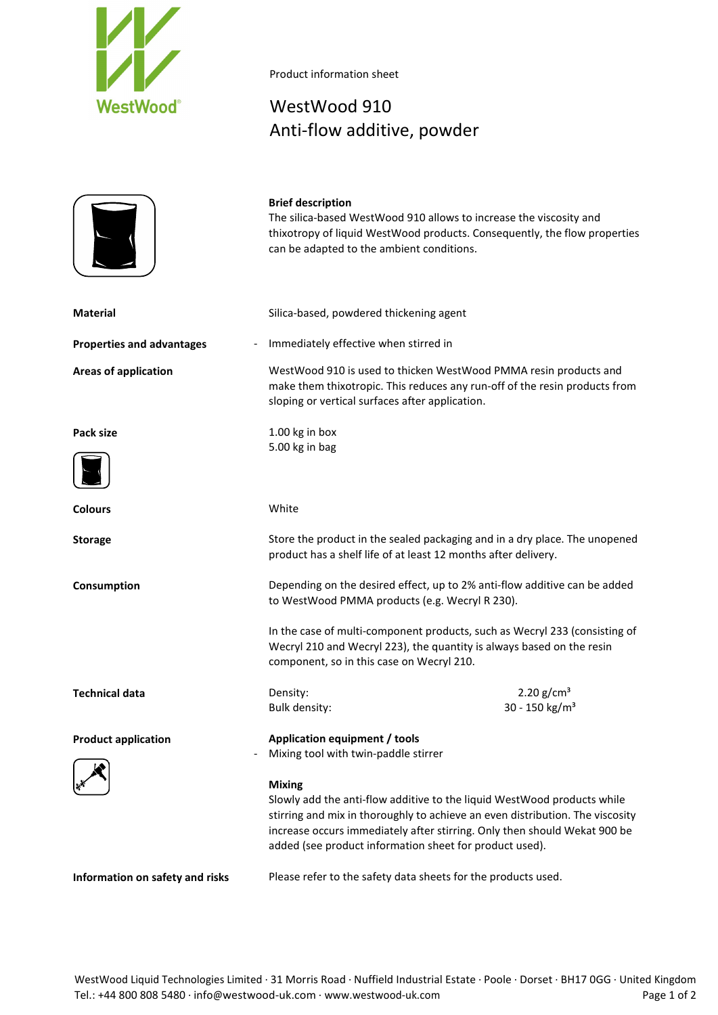



## Product information sheet

## WestWood 910 Anti-flow additive, powder

|                                                                          | <b>Brief description</b><br>The silica-based WestWood 910 allows to increase the viscosity and<br>can be adapted to the ambient conditions.                                                       | thixotropy of liquid WestWood products. Consequently, the flow properties                                                                                                                                                             |
|--------------------------------------------------------------------------|---------------------------------------------------------------------------------------------------------------------------------------------------------------------------------------------------|---------------------------------------------------------------------------------------------------------------------------------------------------------------------------------------------------------------------------------------|
| <b>Material</b>                                                          | Silica-based, powdered thickening agent                                                                                                                                                           |                                                                                                                                                                                                                                       |
| <b>Properties and advantages</b>                                         | Immediately effective when stirred in                                                                                                                                                             |                                                                                                                                                                                                                                       |
| <b>Areas of application</b>                                              | WestWood 910 is used to thicken WestWood PMMA resin products and<br>make them thixotropic. This reduces any run-off of the resin products from<br>sloping or vertical surfaces after application. |                                                                                                                                                                                                                                       |
| Pack size                                                                | 1.00 kg in box<br>5.00 kg in bag                                                                                                                                                                  |                                                                                                                                                                                                                                       |
| <b>Colours</b>                                                           | White                                                                                                                                                                                             |                                                                                                                                                                                                                                       |
| <b>Storage</b>                                                           | Store the product in the sealed packaging and in a dry place. The unopened<br>product has a shelf life of at least 12 months after delivery.                                                      |                                                                                                                                                                                                                                       |
| Consumption                                                              | Depending on the desired effect, up to 2% anti-flow additive can be added<br>to WestWood PMMA products (e.g. Wecryl R 230).                                                                       |                                                                                                                                                                                                                                       |
|                                                                          | In the case of multi-component products, such as Wecryl 233 (consisting of<br>Wecryl 210 and Wecryl 223), the quantity is always based on the resin<br>component, so in this case on Wecryl 210.  |                                                                                                                                                                                                                                       |
| <b>Technical data</b>                                                    | Density:<br>Bulk density:                                                                                                                                                                         | 2.20 $g/cm^3$<br>30 - 150 kg/m <sup>3</sup>                                                                                                                                                                                           |
| <b>Product application</b>                                               | Application equipment / tools<br>Mixing tool with twin-paddle stirrer                                                                                                                             |                                                                                                                                                                                                                                       |
| <b>Mixing</b><br>added (see product information sheet for product used). |                                                                                                                                                                                                   | Slowly add the anti-flow additive to the liquid WestWood products while<br>stirring and mix in thoroughly to achieve an even distribution. The viscosity<br>increase occurs immediately after stirring. Only then should Wekat 900 be |
| Information on safety and risks                                          | Please refer to the safety data sheets for the products used.                                                                                                                                     |                                                                                                                                                                                                                                       |

WestWood Liquid Technologies Limited · 31 Morris Road · Nuffield Industrial Estate · Poole · Dorset · BH17 0GG · United Kingdom Tel.: +44 800 808 5480 · info@westwood-uk.com · www.westwood-uk.com Page 1 of 2